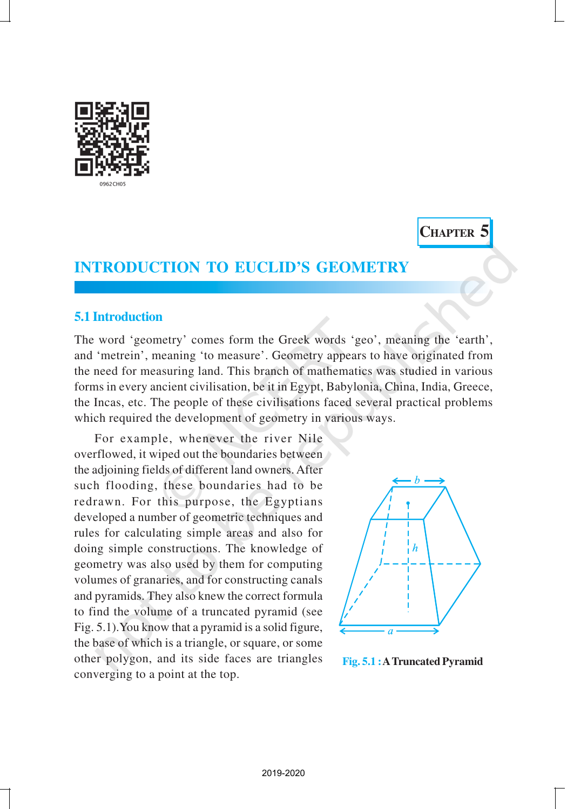

# **CHAPTER 5**

# **INTRODUCTION TO EUCLID'S GEOMETRY**

## **5.1 Introduction**

The word 'geometry' comes form the Greek words 'geo', meaning the 'earth', and 'metrein', meaning 'to measure'. Geometry appears to have originated from the need for measuring land. This branch of mathematics was studied in various forms in every ancient civilisation, be it in Egypt, Babylonia, China, India, Greece, the Incas, etc. The people of these civilisations faced several practical problems which required the development of geometry in various ways.

For example, whenever the river Nile overflowed, it wiped out the boundaries between the adjoining fields of different land owners. After such flooding, these boundaries had to be redrawn. For this purpose, the Egyptians developed a number of geometric techniques and rules for calculating simple areas and also for doing simple constructions. The knowledge of geometry was also used by them for computing volumes of granaries, and for constructing canals and pyramids. They also knew the correct formula to find the volume of a truncated pyramid (see Fig. 5.1).You know that a pyramid is a solid figure, the base of which is a triangle, or square, or some other polygon, and its side faces are triangles converging to a point at the top.



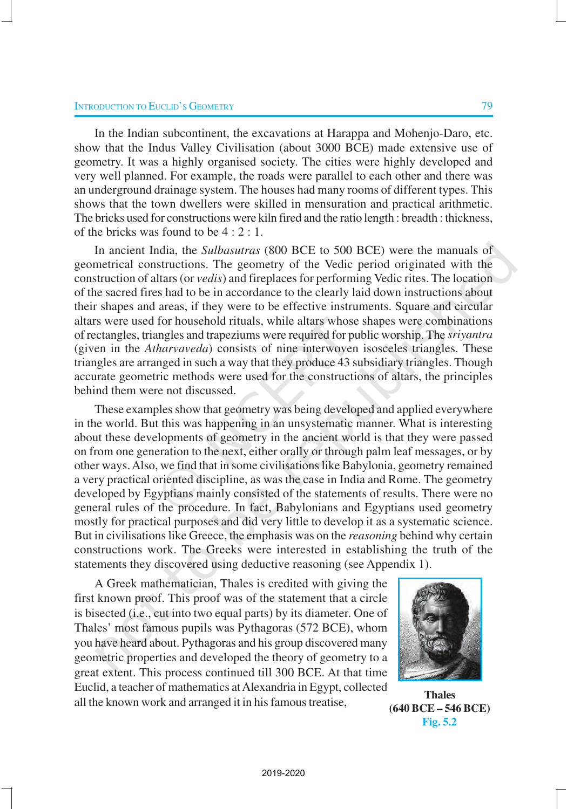In the Indian subcontinent, the excavations at Harappa and Mohenjo-Daro, etc. show that the Indus Valley Civilisation (about 3000 BCE) made extensive use of geometry. It was a highly organised society. The cities were highly developed and very well planned. For example, the roads were parallel to each other and there was an underground drainage system. The houses had many rooms of different types. This shows that the town dwellers were skilled in mensuration and practical arithmetic. The bricks used for constructions were kiln fired and the ratio length : breadth : thickness, of the bricks was found to be 4 : 2 : 1.

In ancient India, the *Sulbasutras* (800 BCE to 500 BCE) were the manuals of geometrical constructions. The geometry of the Vedic period originated with the construction of altars (or *vedis*) and fireplaces for performing Vedic rites. The location of the sacred fires had to be in accordance to the clearly laid down instructions about their shapes and areas, if they were to be effective instruments. Square and circular altars were used for household rituals, while altars whose shapes were combinations of rectangles, triangles and trapeziums were required for public worship. The *sriyantra* (given in the *Atharvaveda*) consists of nine interwoven isosceles triangles. These triangles are arranged in such a way that they produce 43 subsidiary triangles. Though accurate geometric methods were used for the constructions of altars, the principles behind them were not discussed.

These examples show that geometry was being developed and applied everywhere in the world. But this was happening in an unsystematic manner. What is interesting about these developments of geometry in the ancient world is that they were passed on from one generation to the next, either orally or through palm leaf messages, or by other ways. Also, we find that in some civilisations like Babylonia, geometry remained a very practical oriented discipline, as was the case in India and Rome. The geometry developed by Egyptians mainly consisted of the statements of results. There were no general rules of the procedure. In fact, Babylonians and Egyptians used geometry mostly for practical purposes and did very little to develop it as a systematic science. But in civilisations like Greece, the emphasis was on the *reasoning* behind why certain constructions work. The Greeks were interested in establishing the truth of the statements they discovered using deductive reasoning (see Appendix 1).

A Greek mathematician, Thales is credited with giving the first known proof. This proof was of the statement that a circle is bisected (i.e., cut into two equal parts) by its diameter. One of Thales' most famous pupils was Pythagoras (572 BCE), whom you have heard about. Pythagoras and his group discovered many geometric properties and developed the theory of geometry to a great extent. This process continued till 300 BCE. At that time Euclid, a teacher of mathematics at Alexandria in Egypt, collected **Exercise** all the known work and arranged it in his famous treatise,



**(640 BCE – 546 BCE) Fig. 5.2**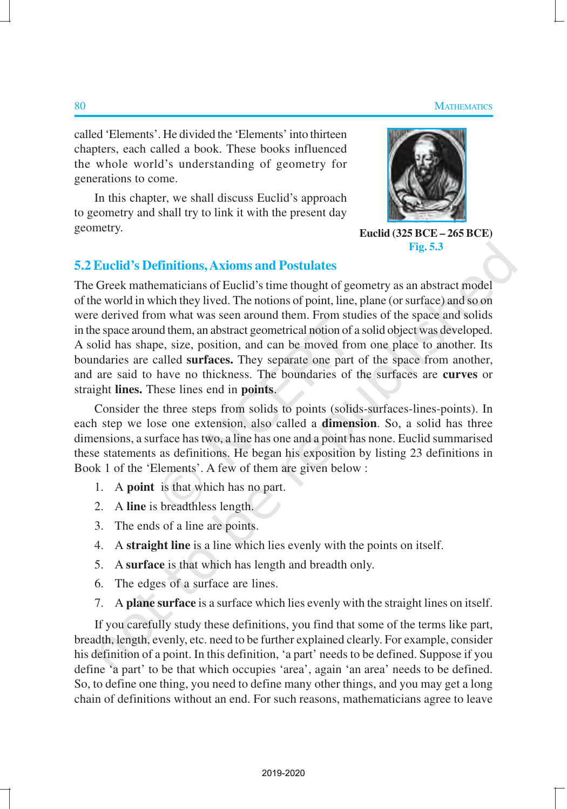called 'Elements'. He divided the 'Elements' into thirteen chapters, each called a book. These books influenced the whole world's understanding of geometry for generations to come.

In this chapter, we shall discuss Euclid's approach to geometry and shall try to link it with the present day geometry.



**Euclid (325 BCE – 265 BCE) Fig. 5.3**

# **5.2 Euclid's Definitions, Axioms and Postulates**

The Greek mathematicians of Euclid's time thought of geometry as an abstract model of the world in which they lived. The notions of point, line, plane (or surface) and so on were derived from what was seen around them. From studies of the space and solids in the space around them, an abstract geometrical notion of a solid object was developed. A solid has shape, size, position, and can be moved from one place to another. Its boundaries are called **surfaces.** They separate one part of the space from another, and are said to have no thickness. The boundaries of the surfaces are **curves** or straight **lines.** These lines end in **points**.

Consider the three steps from solids to points (solids-surfaces-lines-points). In each step we lose one extension, also called a **dimension**. So, a solid has three dimensions, a surface has two, a line has one and a point has none. Euclid summarised these statements as definitions. He began his exposition by listing 23 definitions in Book 1 of the 'Elements'. A few of them are given below :

- 1. A **point** is that which has no part.
- 2. A **line** is breadthless length.
- 3. The ends of a line are points.
- 4. A **straight line** is a line which lies evenly with the points on itself.
- 5. A **surface** is that which has length and breadth only.
- 6. The edges of a surface are lines.
- 7. A **plane surface** is a surface which lies evenly with the straight lines on itself.

If you carefully study these definitions, you find that some of the terms like part, breadth, length, evenly, etc. need to be further explained clearly. For example, consider his definition of a point. In this definition, 'a part' needs to be defined. Suppose if you define 'a part' to be that which occupies 'area', again 'an area' needs to be defined. So, to define one thing, you need to define many other things, and you may get a long chain of definitions without an end. For such reasons, mathematicians agree to leave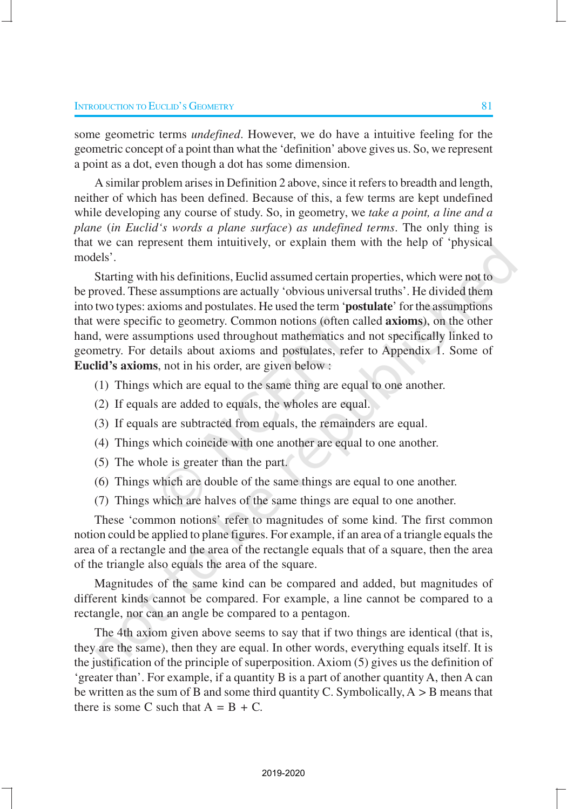some geometric terms *undefined*. However, we do have a intuitive feeling for the geometric concept of a point than what the 'definition' above gives us. So, we represent a point as a dot, even though a dot has some dimension.

A similar problem arises in Definition 2 above, since it refers to breadth and length, neither of which has been defined. Because of this, a few terms are kept undefined while developing any course of study. So, in geometry, we *take a point, a line and a plane* (*in Euclid's words a plane surface*) *as undefined terms*. The only thing is that we can represent them intuitively, or explain them with the help of 'physical models'.

Starting with his definitions, Euclid assumed certain properties, which were not to be proved. These assumptions are actually 'obvious universal truths'. He divided them into two types: axioms and postulates. He used the term '**postulate**' for the assumptions that were specific to geometry. Common notions (often called **axioms**), on the other hand, were assumptions used throughout mathematics and not specifically linked to geometry. For details about axioms and postulates, refer to Appendix 1. Some of **Euclid's axioms**, not in his order, are given below :

- (1) Things which are equal to the same thing are equal to one another.
- (2) If equals are added to equals, the wholes are equal.
- (3) If equals are subtracted from equals, the remainders are equal.
- (4) Things which coincide with one another are equal to one another.
- (5) The whole is greater than the part.
- (6) Things which are double of the same things are equal to one another.
- (7) Things which are halves of the same things are equal to one another.

These 'common notions' refer to magnitudes of some kind. The first common notion could be applied to plane figures. For example, if an area of a triangle equals the area of a rectangle and the area of the rectangle equals that of a square, then the area of the triangle also equals the area of the square.

Magnitudes of the same kind can be compared and added, but magnitudes of different kinds cannot be compared. For example, a line cannot be compared to a rectangle, nor can an angle be compared to a pentagon.

The 4th axiom given above seems to say that if two things are identical (that is, they are the same), then they are equal. In other words, everything equals itself. It is the justification of the principle of superposition. Axiom (5) gives us the definition of 'greater than'. For example, if a quantity B is a part of another quantity A, then A can be written as the sum of B and some third quantity C. Symbolically, A *>* B means that there is some C such that  $A = B + C$ .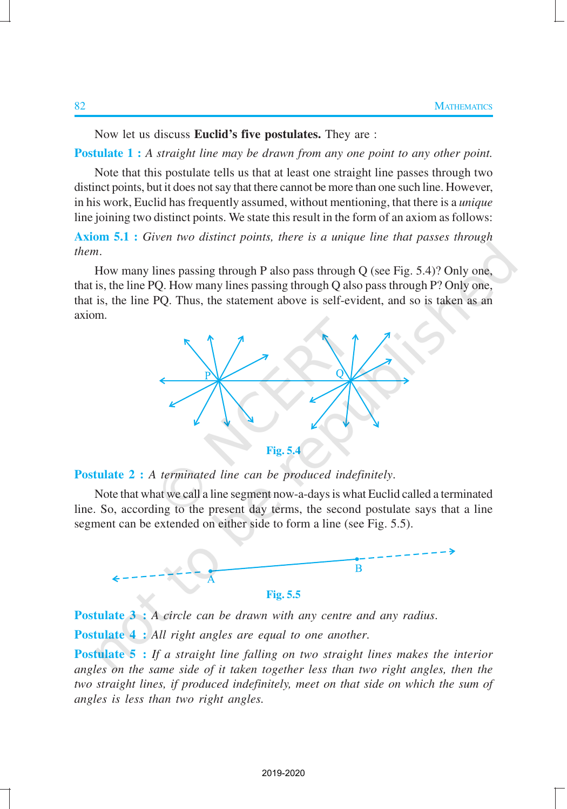Now let us discuss **Euclid's five postulates.** They are :

**Postulate 1 :** *A straight line may be drawn from any one point to any other point.*

Note that this postulate tells us that at least one straight line passes through two distinct points, but it does not say that there cannot be more than one such line. However, in his work, Euclid has frequently assumed, without mentioning, that there is a *unique* line joining two distinct points. We state this result in the form of an axiom as follows:

**Axiom 5.1 :** *Given two distinct points, there is a unique line that passes through them*.

How many lines passing through P also pass through Q (see Fig. 5.4)? Only one, that is, the line PQ. How many lines passing through Q also pass through P? Only one, that is, the line PQ. Thus, the statement above is self-evident, and so is taken as an axiom.



**Postulate 2 :** *A terminated line can be produced indefinitely*.

Note that what we call a line segment now-a-days is what Euclid called a terminated line. So, according to the present day terms, the second postulate says that a line segment can be extended on either side to form a line (see Fig. 5.5).



**Postulate 3 :** *A circle can be drawn with any centre and any radius*.

**Postulate 4 :** *All right angles are equal to one another*.

**Postulate 5 :** *If a straight line falling on two straight lines makes the interior angles on the same side of it taken together less than two right angles, then the two straight lines, if produced indefinitely, meet on that side on which the sum of angles is less than two right angles.*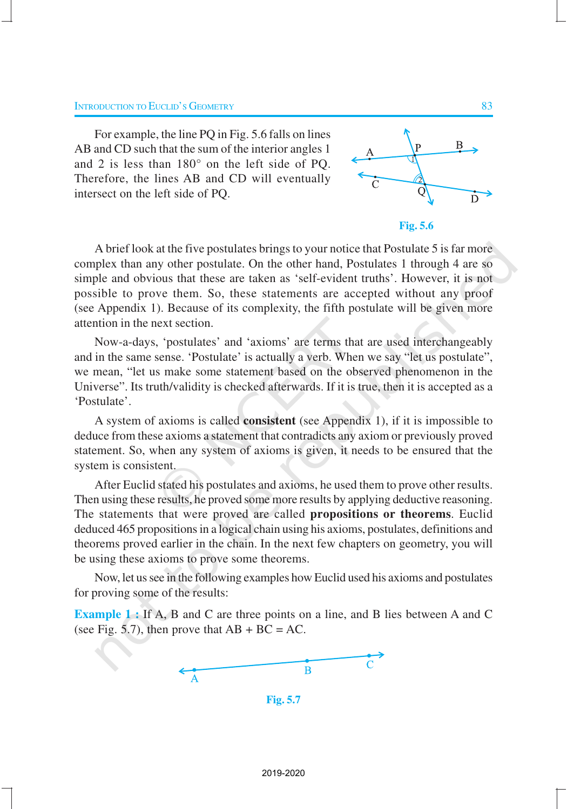For example, the line PQ in Fig. 5.6 falls on lines AB and CD such that the sum of the interior angles 1 and 2 is less than 180° on the left side of PQ. Therefore, the lines AB and CD will eventually intersect on the left side of PQ.





A brief look at the five postulates brings to your notice that Postulate 5 is far more complex than any other postulate. On the other hand, Postulates 1 through 4 are so simple and obvious that these are taken as 'self-evident truths'. However, it is not possible to prove them. So, these statements are accepted without any proof (see Appendix 1). Because of its complexity, the fifth postulate will be given more attention in the next section.

Now-a-days, 'postulates' and 'axioms' are terms that are used interchangeably and in the same sense. 'Postulate' is actually a verb. When we say "let us postulate", we mean, "let us make some statement based on the observed phenomenon in the Universe". Its truth/validity is checked afterwards. If it is true, then it is accepted as a 'Postulate'.

A system of axioms is called **consistent** (see Appendix 1), if it is impossible to deduce from these axioms a statement that contradicts any axiom or previously proved statement. So, when any system of axioms is given, it needs to be ensured that the system is consistent.

After Euclid stated his postulates and axioms, he used them to prove other results. Then using these results, he proved some more results by applying deductive reasoning. The statements that were proved are called **propositions or theorems**. Euclid deduced 465 propositions in a logical chain using his axioms, postulates, definitions and theorems proved earlier in the chain. In the next few chapters on geometry, you will be using these axioms to prove some theorems.

Now, let us see in the following examples how Euclid used his axioms and postulates for proving some of the results:

**Example 1 :** If A, B and C are three points on a line, and B lies between A and C (see Fig. 5.7), then prove that  $AB + BC = AC$ .



**Fig. 5.7**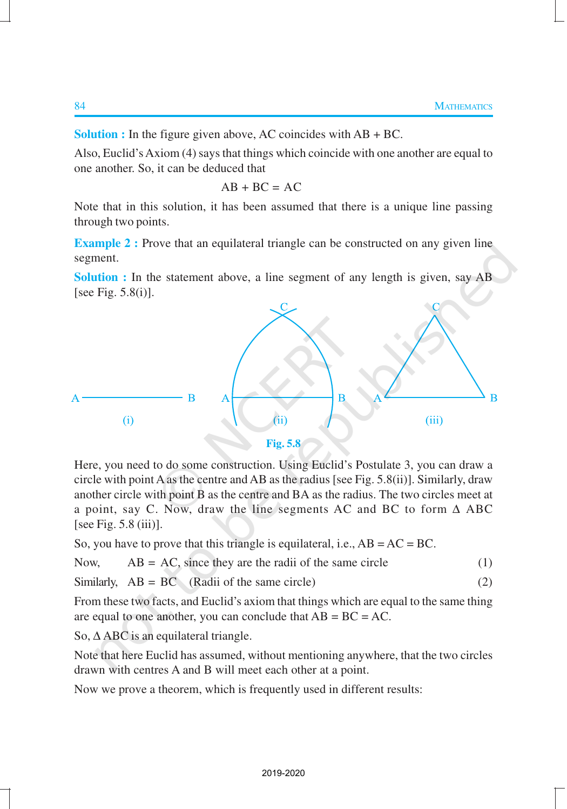**Solution :** In the figure given above, AC coincides with AB + BC.

Also, Euclid's Axiom (4) says that things which coincide with one another are equal to one another. So, it can be deduced that

$$
AB + BC = AC
$$

Note that in this solution, it has been assumed that there is a unique line passing through two points.

**Example 2 :** Prove that an equilateral triangle can be constructed on any given line segment.

**Solution :** In the statement above, a line segment of any length is given, say AB [see Fig.  $5.8(i)$ ].



Here, you need to do some construction. Using Euclid's Postulate 3, you can draw a circle with point A as the centre and AB as the radius [see Fig. 5.8(ii)]. Similarly, draw another circle with point B as the centre and BA as the radius. The two circles meet at a point, say C. Now, draw the line segments AC and BC to form  $\triangle$  ABC [see Fig.  $5.8$  (iii)].

So, you have to prove that this triangle is equilateral, i.e.,  $AB = AC = BC$ .

| Now, | $AB = AC$ , since they are the radii of the same circle |  |
|------|---------------------------------------------------------|--|
|------|---------------------------------------------------------|--|

Similarly,  $AB = BC$  (Radii of the same circle) (2)

From these two facts, and Euclid's axiom that things which are equal to the same thing are equal to one another, you can conclude that  $AB = BC = AC$ .

So,  $\triangle$  ABC is an equilateral triangle.

Note that here Euclid has assumed, without mentioning anywhere, that the two circles drawn with centres A and B will meet each other at a point.

Now we prove a theorem, which is frequently used in different results: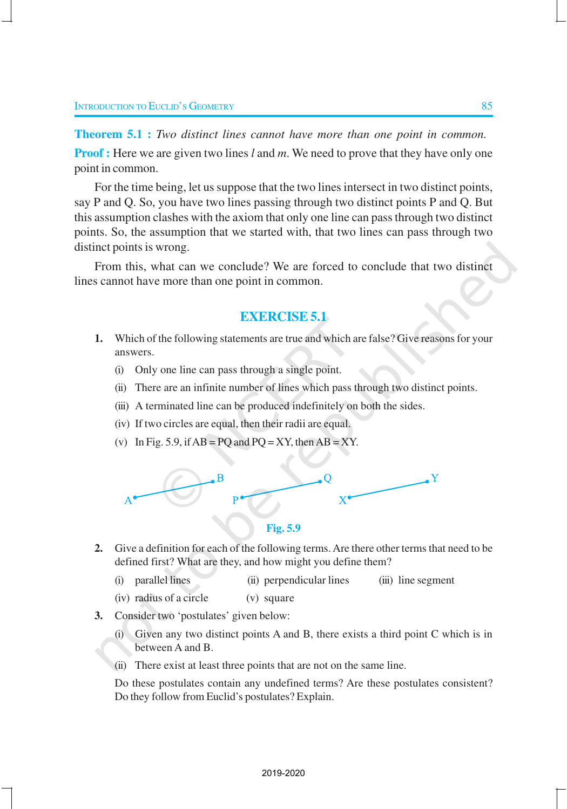**Theorem 5.1 :** *Two distinct lines cannot have more than one point in common.*

**Proof :** Here we are given two lines *l* and *m*. We need to prove that they have only one point in common.

For the time being, let us suppose that the two lines intersect in two distinct points, say P and Q. So, you have two lines passing through two distinct points P and Q. But this assumption clashes with the axiom that only one line can pass through two distinct points. So, the assumption that we started with, that two lines can pass through two distinct points is wrong.

From this, what can we conclude? We are forced to conclude that two distinct lines cannot have more than one point in common.

#### **EXERCISE 5.1**

- **1.** Which of the following statements are true and which are false? Give reasons for your answers.
	- (i) Only one line can pass through a single point.
	- (ii) There are an infinite number of lines which pass through two distinct points.
	- (iii) A terminated line can be produced indefinitely on both the sides.
	- (iv) If two circles are equal, then their radii are equal.
	- (v) In Fig. 5.9, if  $AB = PQ$  and  $PQ = XY$ , then  $AB = XY$ .



- **2.** Give a definition for each of the following terms. Are there other terms that need to be defined first? What are they, and how might you define them?
	- (i) parallel lines (ii) perpendicular lines (iii) line segment
	- (iv) radius of a circle (v) square
- **3.** Consider two 'postulates' given below:
	- (i) Given any two distinct points A and B, there exists a third point C which is in between A and B.
	- (ii) There exist at least three points that are not on the same line.

Do these postulates contain any undefined terms? Are these postulates consistent? Do they follow from Euclid's postulates? Explain.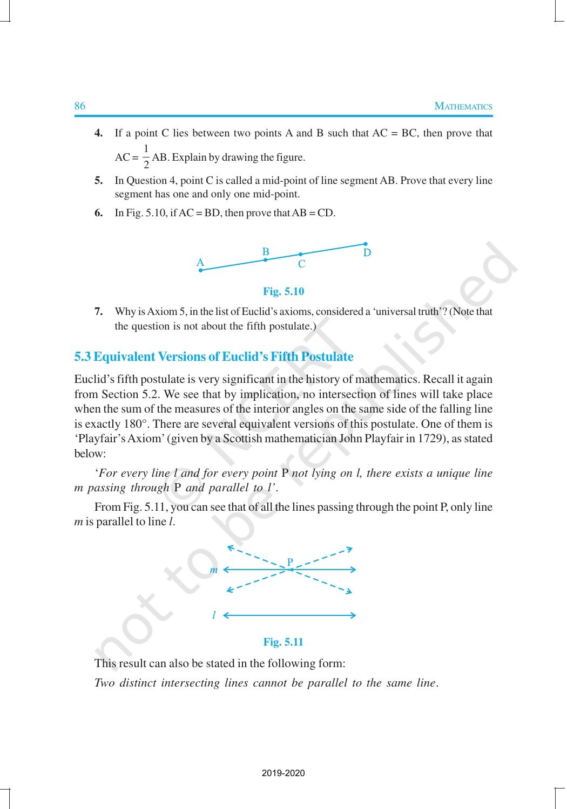- **4.** If a point C lies between two points A and B such that AC = BC, then prove that  $AC = \frac{1}{2}$  $\frac{1}{2}$ AB. Explain by drawing the figure.
- **5.** In Question 4, point C is called a mid-point of line segment AB. Prove that every line segment has one and only one mid-point.
- 6. In Fig. 5.10, if  $AC = BD$ , then prove that  $AB = CD$ .





**7.** Why is Axiom 5, in the list of Euclid's axioms, considered a 'universal truth'? (Note that the question is not about the fifth postulate.)

### **5.3 Equivalent Versions of Euclid's Fifth Postulate**

Euclid's fifth postulate is very significant in the history of mathematics. Recall it again from Section 5.2. We see that by implication, no intersection of lines will take place when the sum of the measures of the interior angles on the same side of the falling line is exactly 180°. There are several equivalent versions of this postulate. One of them is 'Playfair's Axiom' (given by a Scottish mathematician John Playfair in 1729), as stated below:

'*For every line l and for every point* P *not lying on l, there exists a unique line m passing through* P *and parallel to l'*.

From Fig. 5.11, you can see that of all the lines passing through the point P, only line *m* is parallel to line *l*.



This result can also be stated in the following form:

*Two distinct intersecting lines cannot be parallel to the same line*.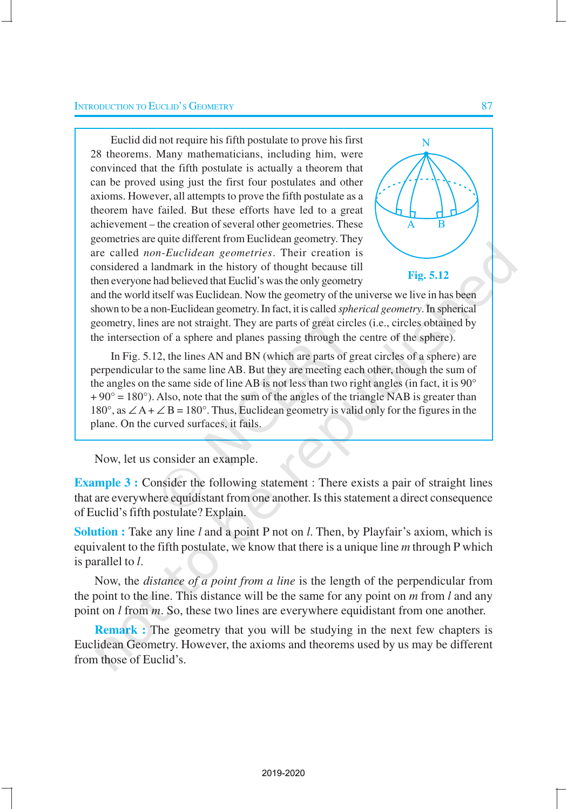Euclid did not require his fifth postulate to prove his first 28 theorems. Many mathematicians, including him, were convinced that the fifth postulate is actually a theorem that can be proved using just the first four postulates and other axioms. However, all attempts to prove the fifth postulate as a theorem have failed. But these efforts have led to a great achievement – the creation of several other geometries. These geometries are quite different from Euclidean geometry. They are called *non-Euclidean geometries*. Their creation is considered a landmark in the history of thought because till then everyone had believed that Euclid's was the only geometry





and the world itself was Euclidean. Now the geometry of the universe we live in has been shown to be a non-Euclidean geometry. In fact, it is called *spherical geometry*. In spherical geometry, lines are not straight. They are parts of great circles (i.e., circles obtained by the intersection of a sphere and planes passing through the centre of the sphere).

In Fig. 5.12, the lines AN and BN (which are parts of great circles of a sphere) are perpendicular to the same line AB. But they are meeting each other, though the sum of the angles on the same side of line AB is not less than two right angles (in fact, it is 90°  $+90^\circ = 180^\circ$ ). Also, note that the sum of the angles of the triangle NAB is greater than  $180^\circ$ , as  $\angle A + \angle B = 180^\circ$ . Thus, Euclidean geometry is valid only for the figures in the plane. On the curved surfaces, it fails.

Now, let us consider an example.

**Example 3 :** Consider the following statement : There exists a pair of straight lines that are everywhere equidistant from one another. Is this statement a direct consequence of Euclid's fifth postulate? Explain.

**Solution :** Take any line *l* and a point P not on *l*. Then, by Playfair's axiom, which is equivalent to the fifth postulate, we know that there is a unique line *m* through P which is parallel to *l*.

Now, the *distance of a point from a line* is the length of the perpendicular from the point to the line. This distance will be the same for any point on *m* from *l* and any point on *l* from *m*. So, these two lines are everywhere equidistant from one another.

**Remark :** The geometry that you will be studying in the next few chapters is Euclidean Geometry. However, the axioms and theorems used by us may be different from those of Euclid's.